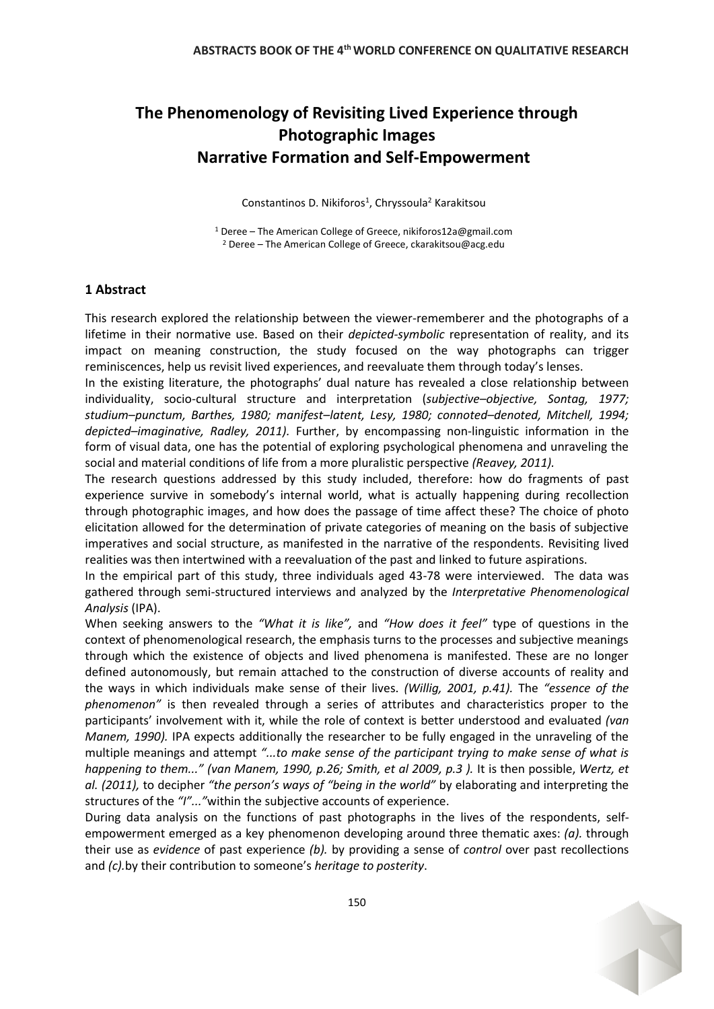# **The Phenomenology of Revisiting Lived Experience through Photographic Images Narrative Formation and Self-Empowerment**

Constantinos D. Nikiforos<sup>1</sup>, Chryssoula<sup>2</sup> Karakitsou

<sup>1</sup> Deree – The American College of Greece, nikiforos12a@gmail.com <sup>2</sup> Deree – The American College of Greece, ckarakitsou@acg.edu

## **1 Abstract**

This research explored the relationship between the viewer-rememberer and the photographs of a lifetime in their normative use. Based on their *depicted-symbolic* representation of reality, and its impact on meaning construction, the study focused on the way photographs can trigger reminiscences, help us revisit lived experiences, and reevaluate them through today's lenses.

In the existing literature, the photographs' dual nature has revealed a close relationship between individuality, socio-cultural structure and interpretation (*subjective–objective, Sontag, 1977; studium–punctum, Barthes, 1980; manifest–latent, Lesy, 1980; connoted–denoted, Mitchell, 1994; depicted–imaginative, Radley, 2011).* Further, by encompassing non-linguistic information in the form of visual data, one has the potential of exploring psychological phenomena and unraveling the social and material conditions of life from a more pluralistic perspective *(Reavey, 2011).*

The research questions addressed by this study included, therefore: how do fragments of past experience survive in somebody's internal world, what is actually happening during recollection through photographic images, and how does the passage of time affect these? The choice of photo elicitation allowed for the determination of private categories of meaning on the basis of subjective imperatives and social structure, as manifested in the narrative of the respondents. Revisiting lived realities was then intertwined with a reevaluation of the past and linked to future aspirations.

In the empirical part of this study, three individuals aged 43-78 were interviewed. The data was gathered through semi-structured interviews and analyzed by the *Interpretative Phenomenological Analysis* (IPA).

When seeking answers to the *"What it is like",* and *"How does it feel"* type of questions in the context of phenomenological research, the emphasis turns to the processes and subjective meanings through which the existence of objects and lived phenomena is manifested. These are no longer defined autonomously, but remain attached to the construction of diverse accounts of reality and the ways in which individuals make sense of their lives. *(Willig, 2001, p.41).* The *"essence of the phenomenon"* is then revealed through a series of attributes and characteristics proper to the participants' involvement with it, while the role of context is better understood and evaluated *(van Manem, 1990).* IPA expects additionally the researcher to be fully engaged in the unraveling of the multiple meanings and attempt *"...to make sense of the participant trying to make sense of what is happening to them..." (van Manem, 1990, p.26; Smith, et al 2009, p.3 ).* It is then possible, *Wertz, et al. (2011),* to decipher *"the person's ways of "being in the world"* by elaborating and interpreting the structures of the *"I"..."*within the subjective accounts of experience.

During data analysis on the functions of past photographs in the lives of the respondents, selfempowerment emerged as a key phenomenon developing around three thematic axes: *(a).* through their use as *evidence* of past experience *(b).* by providing a sense of *control* over past recollections and *(c).*by their contribution to someone's *heritage to posterity*.

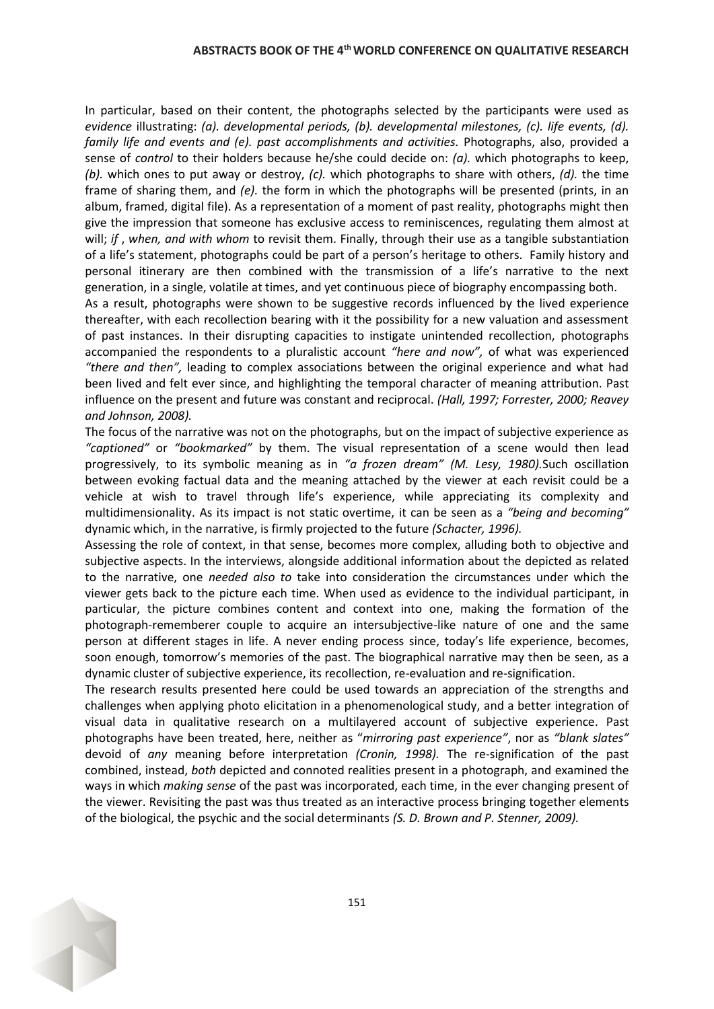#### **ABSTRACTS BOOK OF THE 4thWORLD CONFERENCE ON QUALITATIVE RESEARCH**

In particular, based on their content, the photographs selected by the participants were used as *evidence* illustrating: *(a). developmental periods, (b). developmental milestones, (c). life events, (d). family life and events and (e). past accomplishments and activities. Photographs, also, provided a* sense of *control* to their holders because he/she could decide on: *(a).* which photographs to keep, *(b).* which ones to put away or destroy, *(c).* which photographs to share with others, *(d).* the time frame of sharing them, and *(e).* the form in which the photographs will be presented (prints, in an album, framed, digital file). As a representation of a moment of past reality, photographs might then give the impression that someone has exclusive access to reminiscences, regulating them almost at will; *if* , *when, and with whom* to revisit them. Finally, through their use as a tangible substantiation of a life's statement, photographs could be part of a person's heritage to others. Family history and personal itinerary are then combined with the transmission of a life's narrative to the next generation, in a single, volatile at times, and yet continuous piece of biography encompassing both.

As a result, photographs were shown to be suggestive records influenced by the lived experience thereafter, with each recollection bearing with it the possibility for a new valuation and assessment of past instances. In their disrupting capacities to instigate unintended recollection, photographs accompanied the respondents to a pluralistic account *"here and now",* of what was experienced *"there and then",* leading to complex associations between the original experience and what had been lived and felt ever since, and highlighting the temporal character of meaning attribution. Past influence on the present and future was constant and reciprocal. *(Hall, 1997; Forrester, 2000; Reavey and Johnson, 2008).*

The focus of the narrative was not on the photographs, but on the impact of subjective experience as *"captioned"* or *"bookmarked"* by them. The visual representation of a scene would then lead progressively, to its symbolic meaning as in *"a frozen dream" (M. Lesy, 1980).*Such oscillation between evoking factual data and the meaning attached by the viewer at each revisit could be a vehicle at wish to travel through life's experience, while appreciating its complexity and multidimensionality. As its impact is not static overtime, it can be seen as a *"being and becoming"* dynamic which, in the narrative, is firmly projected to the future *(Schacter, 1996).*

Assessing the role of context, in that sense, becomes more complex, alluding both to objective and subjective aspects. In the interviews, alongside additional information about the depicted as related to the narrative, one *needed also to* take into consideration the circumstances under which the viewer gets back to the picture each time. When used as evidence to the individual participant, in particular, the picture combines content and context into one, making the formation of the photograph-rememberer couple to acquire an intersubjective-like nature of one and the same person at different stages in life. A never ending process since, today's life experience, becomes, soon enough, tomorrow's memories of the past. The biographical narrative may then be seen, as a dynamic cluster of subjective experience, its recollection, re-evaluation and re-signification.

The research results presented here could be used towards an appreciation of the strengths and challenges when applying photo elicitation in a phenomenological study, and a better integration of visual data in qualitative research on a multilayered account of subjective experience. Past photographs have been treated, here, neither as "*mirroring past experience"*, nor as *"blank slates"* devoid of *any* meaning before interpretation *(Cronin, 1998).* The re-signification of the past combined, instead, *both* depicted and connoted realities present in a photograph, and examined the ways in which *making sense* of the past was incorporated, each time, in the ever changing present of the viewer. Revisiting the past was thus treated as an interactive process bringing together elements of the biological, the psychic and the social determinants *(S. D. Brown and P. Stenner, 2009).* 

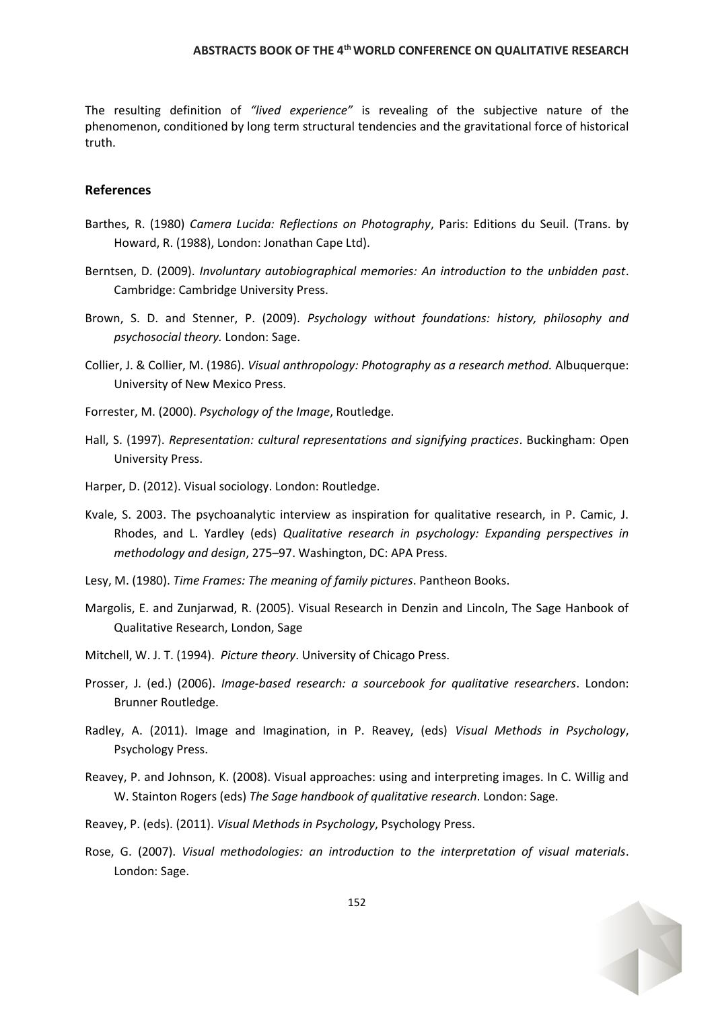#### **ABSTRACTS BOOK OF THE 4thWORLD CONFERENCE ON QUALITATIVE RESEARCH**

The resulting definition of *"lived experience"* is revealing of the subjective nature of the phenomenon, conditioned by long term structural tendencies and the gravitational force of historical truth.

### **References**

- Barthes, R. (1980) *Camera Lucida: Reflections on Photography*, Paris: Editions du Seuil. (Trans. by Howard, R. (1988), London: Jonathan Cape Ltd).
- Berntsen, D. (2009). *Involuntary autobiographical memories: An introduction to the unbidden past*. Cambridge: Cambridge University Press.
- Brown, S. D. and Stenner, P. (2009). *Psychology without foundations: history, philosophy and psychosocial theory.* London: Sage.
- Collier, J. & Collier, M. (1986). *Visual anthropology: Photography as a research method.* Albuquerque: University of New Mexico Press.
- Forrester, M. (2000). *Psychology of the Image*, Routledge.
- Hall, S. (1997). *Representation: cultural representations and signifying practices*. Buckingham: Open University Press.
- Harper, D. (2012). Visual sociology. London: Routledge.
- Kvale, S. 2003. The psychoanalytic interview as inspiration for qualitative research, in P. Camic, J. Rhodes, and L. Yardley (eds) *Qualitative research in psychology: Expanding perspectives in methodology and design*, 275–97. Washington, DC: APA Press.
- Lesy, M. (1980). *Time Frames: The meaning of family pictures*. Pantheon Books.
- Margolis, E. and Zunjarwad, R. (2005). Visual Research in Denzin and Lincoln, The Sage Hanbook of Qualitative Research, London, Sage
- Mitchell, W. J. T. (1994). *Picture theory*. University of Chicago Press.
- Prosser, J. (ed.) (2006). *Image-based research: a sourcebook for qualitative researchers*. London: Brunner Routledge.
- Radley, A. (2011). Image and Imagination, in P. Reavey, (eds) *Visual Methods in Psychology*, Psychology Press.
- Reavey, P. and Johnson, K. (2008). Visual approaches: using and interpreting images. In C. Willig and W. Stainton Rogers (eds) *The Sage handbook of qualitative research*. London: Sage.
- Reavey, P. (eds). (2011). *Visual Methods in Psychology*, Psychology Press.
- Rose, G. (2007). *Visual methodologies: an introduction to the interpretation of visual materials*. London: Sage.